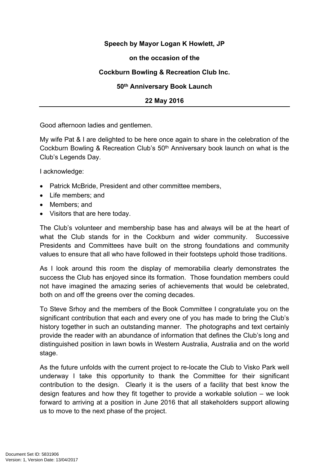# **Speech by Mayor Logan K Howlett, JP**

### **on the occasion of the**

# **Cockburn Bowling & Recreation Club Inc.**

### **50th Anniversary Book Launch**

#### **22 May 2016**

Good afternoon ladies and gentlemen.

My wife Pat & I are delighted to be here once again to share in the celebration of the Cockburn Bowling & Recreation Club's 50th Anniversary book launch on what is the Club's Legends Day.

I acknowledge:

- Patrick McBride, President and other committee members,
- Life members: and
- Members; and
- Visitors that are here today.

The Club's volunteer and membership base has and always will be at the heart of what the Club stands for in the Cockburn and wider community. Successive Presidents and Committees have built on the strong foundations and community values to ensure that all who have followed in their footsteps uphold those traditions.

As I look around this room the display of memorabilia clearly demonstrates the success the Club has enjoyed since its formation. Those foundation members could not have imagined the amazing series of achievements that would be celebrated, both on and off the greens over the coming decades.

To Steve Srhoy and the members of the Book Committee I congratulate you on the significant contribution that each and every one of you has made to bring the Club's history together in such an outstanding manner. The photographs and text certainly provide the reader with an abundance of information that defines the Club's long and distinguished position in lawn bowls in Western Australia, Australia and on the world stage.

As the future unfolds with the current project to re-locate the Club to Visko Park well underway I take this opportunity to thank the Committee for their significant contribution to the design. Clearly it is the users of a facility that best know the design features and how they fit together to provide a workable solution – we look forward to arriving at a position in June 2016 that all stakeholders support allowing us to move to the next phase of the project.